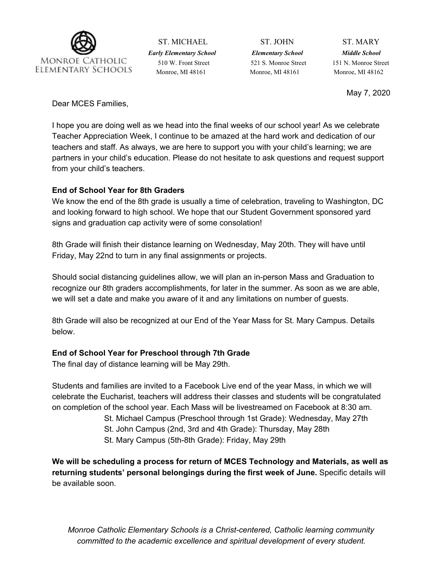

ST. MICHAEL ST. JOHN ST. MARY *Early Elementary School Elementary School Middle School* 510 W. Front Street 521 S. Monroe Street 151 N. Monroe Street Monroe, MI 48161 Monroe, MI 48161 Monroe, MI 48162

May 7, 2020

Dear MCES Families,

I hope you are doing well as we head into the final weeks of our school year! As we celebrate Teacher Appreciation Week, I continue to be amazed at the hard work and dedication of our teachers and staff. As always, we are here to support you with your child's learning; we are partners in your child's education. Please do not hesitate to ask questions and request support from your child's teachers.

## **End of School Year for 8th Graders**

We know the end of the 8th grade is usually a time of celebration, traveling to Washington, DC and looking forward to high school. We hope that our Student Government sponsored yard signs and graduation cap activity were of some consolation!

8th Grade will finish their distance learning on Wednesday, May 20th. They will have until Friday, May 22nd to turn in any final assignments or projects.

Should social distancing guidelines allow, we will plan an in-person Mass and Graduation to recognize our 8th graders accomplishments, for later in the summer. As soon as we are able, we will set a date and make you aware of it and any limitations on number of guests.

8th Grade will also be recognized at our End of the Year Mass for St. Mary Campus. Details below.

# **End of School Year for Preschool through 7th Grade**

The final day of distance learning will be May 29th.

Students and families are invited to a Facebook Live end of the year Mass, in which we will celebrate the Eucharist, teachers will address their classes and students will be congratulated on completion of the school year. Each Mass will be livestreamed on Facebook at 8:30 am.

- St. Michael Campus (Preschool through 1st Grade): Wednesday, May 27th
- St. John Campus (2nd, 3rd and 4th Grade): Thursday, May 28th
- St. Mary Campus (5th-8th Grade): Friday, May 29th

**We will be scheduling a process for return of MCES Technology and Materials, as well as returning students' personal belongings during the first week of June.** Specific details will be available soon.

*Monroe Catholic Elementary Schools is a Christ-centered, Catholic learning community committed to the academic excellence and spiritual development of every student.*